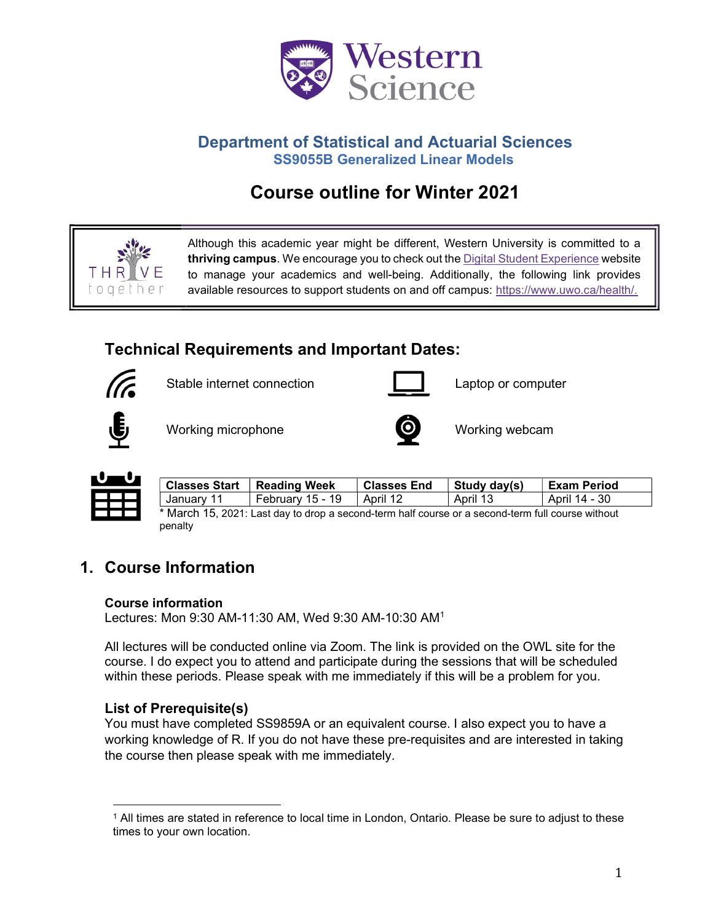

# Department of Statistical and Actuarial Sciences SS9055B Generalized Linear Models

# Course outline for Winter 2021



Although this academic year might be different, Western University is committed to a thriving campus. We encourage you to check out the Digital Student Experience website to manage your academics and well-being. Additionally, the following link provides available resources to support students on and off campus: https://www.uwo.ca/health/.

# Technical Requirements and Important Dates:



Stable internet connection **Laptop** Captop or computer





Working microphone **Working webcam** 





| <b>Classes Start</b> | Reading Week     | <b>Classes End</b> | ' Study day(s) | <b>Exam Period</b> |
|----------------------|------------------|--------------------|----------------|--------------------|
| January 11           | Februarv 15 - 19 | l April 12         | April 13       | April 14 - 30      |

\* March 15, 2021: Last day to drop a second-term half course or a second-term full course without penalty

# 1. Course Information

#### Course information

Lectures: Mon 9:30 AM-11:30 AM, Wed 9:30 AM-10:30 AM<sup>1</sup>

All lectures will be conducted online via Zoom. The link is provided on the OWL site for the course. I do expect you to attend and participate during the sessions that will be scheduled within these periods. Please speak with me immediately if this will be a problem for you.

# List of Prerequisite(s)

You must have completed SS9859A or an equivalent course. I also expect you to have a working knowledge of R. If you do not have these pre-requisites and are interested in taking the course then please speak with me immediately.

<sup>1</sup> All times are stated in reference to local time in London, Ontario. Please be sure to adjust to these times to your own location.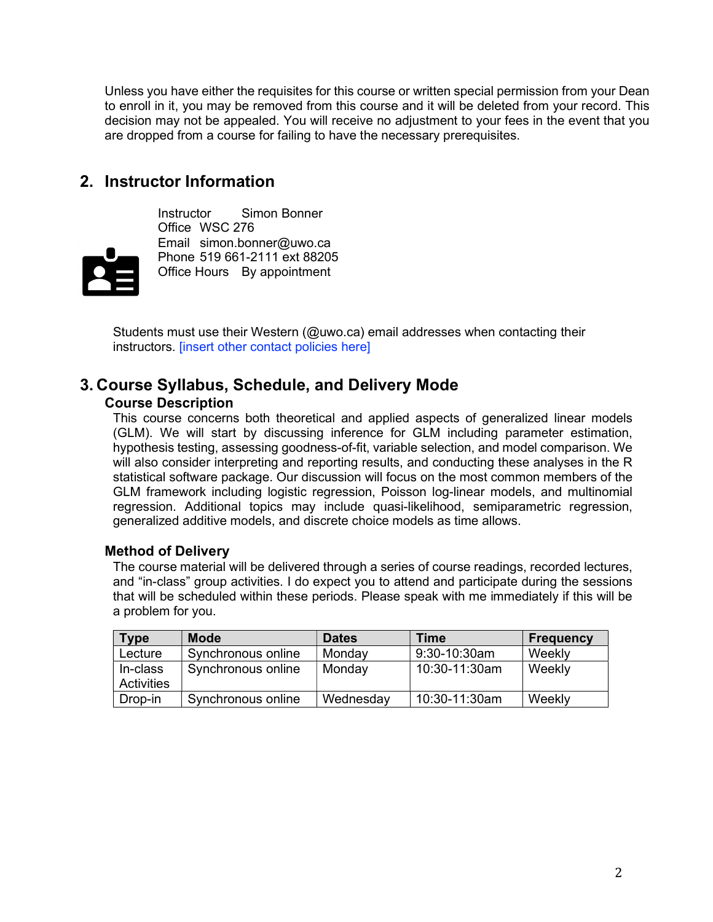Unless you have either the requisites for this course or written special permission from your Dean to enroll in it, you may be removed from this course and it will be deleted from your record. This decision may not be appealed. You will receive no adjustment to your fees in the event that you are dropped from a course for failing to have the necessary prerequisites.

# 2. Instructor Information



Instructor Simon Bonner Office WSC 276 Email simon.bonner@uwo.ca Phone 519 661-2111 ext 88205 Office Hours By appointment

Students must use their Western (@uwo.ca) email addresses when contacting their instructors. [insert other contact policies here]

### 3. Course Syllabus, Schedule, and Delivery Mode Course Description

This course concerns both theoretical and applied aspects of generalized linear models (GLM). We will start by discussing inference for GLM including parameter estimation, hypothesis testing, assessing goodness-of-fit, variable selection, and model comparison. We will also consider interpreting and reporting results, and conducting these analyses in the R statistical software package. Our discussion will focus on the most common members of the GLM framework including logistic regression, Poisson log-linear models, and multinomial regression. Additional topics may include quasi-likelihood, semiparametric regression, generalized additive models, and discrete choice models as time allows.

#### Method of Delivery

The course material will be delivered through a series of course readings, recorded lectures, and "in-class" group activities. I do expect you to attend and participate during the sessions that will be scheduled within these periods. Please speak with me immediately if this will be a problem for you.

| <b>Type</b> | <b>Mode</b>        | <b>Dates</b> | Time          | <b>Frequency</b> |
|-------------|--------------------|--------------|---------------|------------------|
| Lecture     | Synchronous online | Monday       | 9:30-10:30am  | Weekly           |
| In-class    | Synchronous online | Monday       | 10:30-11:30am | Weekly           |
| Activities  |                    |              |               |                  |
| Drop-in     | Synchronous online | Wednesday    | 10:30-11:30am | Weekly           |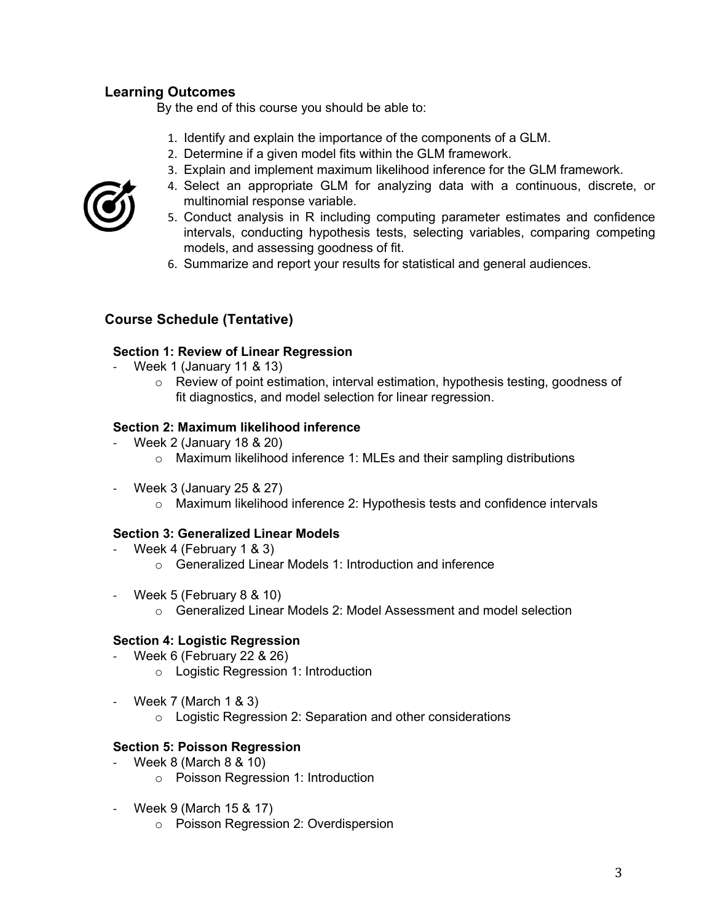# Learning Outcomes

By the end of this course you should be able to:

- 1. Identify and explain the importance of the components of a GLM.
- 2. Determine if a given model fits within the GLM framework.
- 3. Explain and implement maximum likelihood inference for the GLM framework.
- 4. Select an appropriate GLM for analyzing data with a continuous, discrete, or multinomial response variable.
- 5. Conduct analysis in R including computing parameter estimates and confidence intervals, conducting hypothesis tests, selecting variables, comparing competing models, and assessing goodness of fit.
- 6. Summarize and report your results for statistical and general audiences.

# Course Schedule (Tentative)

#### Section 1: Review of Linear Regression

- Week 1 (January 11 & 13)
	- $\circ$  Review of point estimation, interval estimation, hypothesis testing, goodness of fit diagnostics, and model selection for linear regression.

#### Section 2: Maximum likelihood inference

- Week 2 (January 18 & 20)
	- o Maximum likelihood inference 1: MLEs and their sampling distributions
- Week 3 (January 25 & 27)
	- $\circ$  Maximum likelihood inference 2: Hypothesis tests and confidence intervals

#### Section 3: Generalized Linear Models

- Week 4 (February 1 & 3)
	- o Generalized Linear Models 1: Introduction and inference
- Week 5 (February 8 & 10)
	- o Generalized Linear Models 2: Model Assessment and model selection

#### Section 4: Logistic Regression

- Week 6 (February 22 & 26)
	- o Logistic Regression 1: Introduction
- Week 7 (March 1 & 3)
	- o Logistic Regression 2: Separation and other considerations

#### Section 5: Poisson Regression

- Week 8 (March 8 & 10)
	- o Poisson Regression 1: Introduction
- Week 9 (March 15 & 17)
	- o Poisson Regression 2: Overdispersion

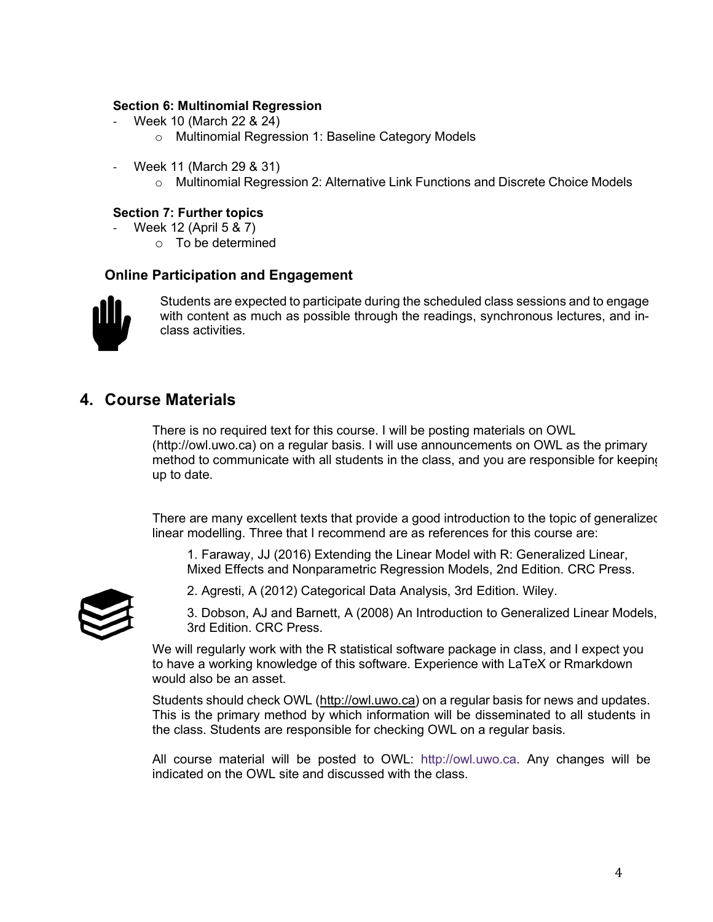#### Section 6: Multinomial Regression

- Week 10 (March 22 & 24)
	- o Multinomial Regression 1: Baseline Category Models
- Week 11 (March 29 & 31)
	- o Multinomial Regression 2: Alternative Link Functions and Discrete Choice Models

#### Section 7: Further topics

- Week 12 (April 5 & 7)
	- o To be determined

#### Online Participation and Engagement



Students are expected to participate during the scheduled class sessions and to engage with content as much as possible through the readings, synchronous lectures, and inclass activities.

# 4. Course Materials

There is no required text for this course. I will be posting materials on OWL (http://owl.uwo.ca) on a regular basis. I will use announcements on OWL as the primary method to communicate with all students in the class, and you are responsible for keeping up to date.

There are many excellent texts that provide a good introduction to the topic of generalized linear modelling. Three that I recommend are as references for this course are:

1. Faraway, JJ (2016) Extending the Linear Model with R: Generalized Linear, Mixed Effects and Nonparametric Regression Models, 2nd Edition. CRC Press.



2. Agresti, A (2012) Categorical Data Analysis, 3rd Edition. Wiley.

3. Dobson, AJ and Barnett, A (2008) An Introduction to Generalized Linear Models, 3rd Edition. CRC Press.

We will regularly work with the R statistical software package in class, and I expect you to have a working knowledge of this software. Experience with LaTeX or Rmarkdown would also be an asset.

Students should check OWL (http://owl.uwo.ca) on a regular basis for news and updates. This is the primary method by which information will be disseminated to all students in the class. Students are responsible for checking OWL on a regular basis.

All course material will be posted to OWL: http://owl.uwo.ca. Any changes will be indicated on the OWL site and discussed with the class.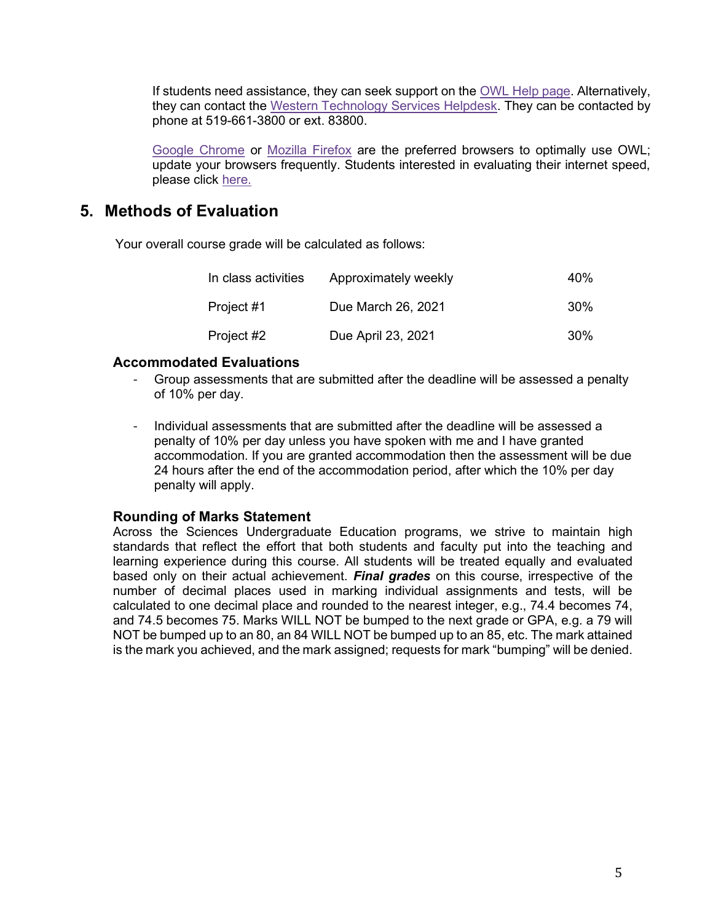If students need assistance, they can seek support on the OWL Help page. Alternatively, they can contact the Western Technology Services Helpdesk. They can be contacted by phone at 519-661-3800 or ext. 83800.

Google Chrome or Mozilla Firefox are the preferred browsers to optimally use OWL; update your browsers frequently. Students interested in evaluating their internet speed, please click here.

# 5. Methods of Evaluation

Your overall course grade will be calculated as follows:

| In class activities | Approximately weekly | 40%             |
|---------------------|----------------------|-----------------|
| Project #1          | Due March 26, 2021   | 30 <sup>%</sup> |
| Project #2          | Due April 23, 2021   | 30 <sup>%</sup> |

#### Accommodated Evaluations

- Group assessments that are submitted after the deadline will be assessed a penalty of 10% per day.
- Individual assessments that are submitted after the deadline will be assessed a penalty of 10% per day unless you have spoken with me and I have granted accommodation. If you are granted accommodation then the assessment will be due 24 hours after the end of the accommodation period, after which the 10% per day penalty will apply.

#### Rounding of Marks Statement

Across the Sciences Undergraduate Education programs, we strive to maintain high standards that reflect the effort that both students and faculty put into the teaching and learning experience during this course. All students will be treated equally and evaluated based only on their actual achievement. Final grades on this course, irrespective of the number of decimal places used in marking individual assignments and tests, will be calculated to one decimal place and rounded to the nearest integer, e.g., 74.4 becomes 74, and 74.5 becomes 75. Marks WILL NOT be bumped to the next grade or GPA, e.g. a 79 will NOT be bumped up to an 80, an 84 WILL NOT be bumped up to an 85, etc. The mark attained is the mark you achieved, and the mark assigned; requests for mark "bumping" will be denied.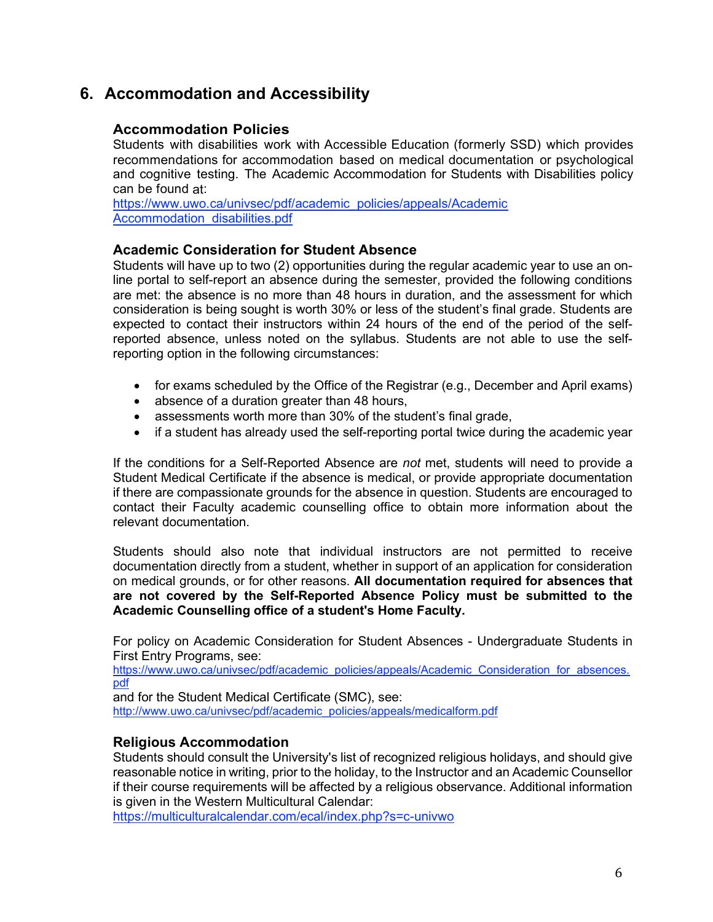# 6. Accommodation and Accessibility

#### Accommodation Policies

Students with disabilities work with Accessible Education (formerly SSD) which provides recommendations for accommodation based on medical documentation or psychological and cognitive testing. The Academic Accommodation for Students with Disabilities policy can be found at:

https://www.uwo.ca/univsec/pdf/academic\_policies/appeals/Academic Accommodation\_disabilities.pdf

#### Academic Consideration for Student Absence

Students will have up to two (2) opportunities during the regular academic year to use an online portal to self-report an absence during the semester, provided the following conditions are met: the absence is no more than 48 hours in duration, and the assessment for which consideration is being sought is worth 30% or less of the student's final grade. Students are expected to contact their instructors within 24 hours of the end of the period of the selfreported absence, unless noted on the syllabus. Students are not able to use the selfreporting option in the following circumstances:

- for exams scheduled by the Office of the Registrar (e.g., December and April exams)
- absence of a duration greater than 48 hours,
- assessments worth more than 30% of the student's final grade,
- if a student has already used the self-reporting portal twice during the academic year

If the conditions for a Self-Reported Absence are not met, students will need to provide a Student Medical Certificate if the absence is medical, or provide appropriate documentation if there are compassionate grounds for the absence in question. Students are encouraged to contact their Faculty academic counselling office to obtain more information about the relevant documentation.

Students should also note that individual instructors are not permitted to receive documentation directly from a student, whether in support of an application for consideration on medical grounds, or for other reasons. All documentation required for absences that are not covered by the Self-Reported Absence Policy must be submitted to the Academic Counselling office of a student's Home Faculty.

For policy on Academic Consideration for Student Absences - Undergraduate Students in First Entry Programs, see:

https://www.uwo.ca/univsec/pdf/academic\_policies/appeals/Academic\_Consideration\_for\_absences. pdf

and for the Student Medical Certificate (SMC), see: http://www.uwo.ca/univsec/pdf/academic\_policies/appeals/medicalform.pdf

#### Religious Accommodation

Students should consult the University's list of recognized religious holidays, and should give reasonable notice in writing, prior to the holiday, to the Instructor and an Academic Counsellor if their course requirements will be affected by a religious observance. Additional information is given in the Western Multicultural Calendar:

https://multiculturalcalendar.com/ecal/index.php?s=c-univwo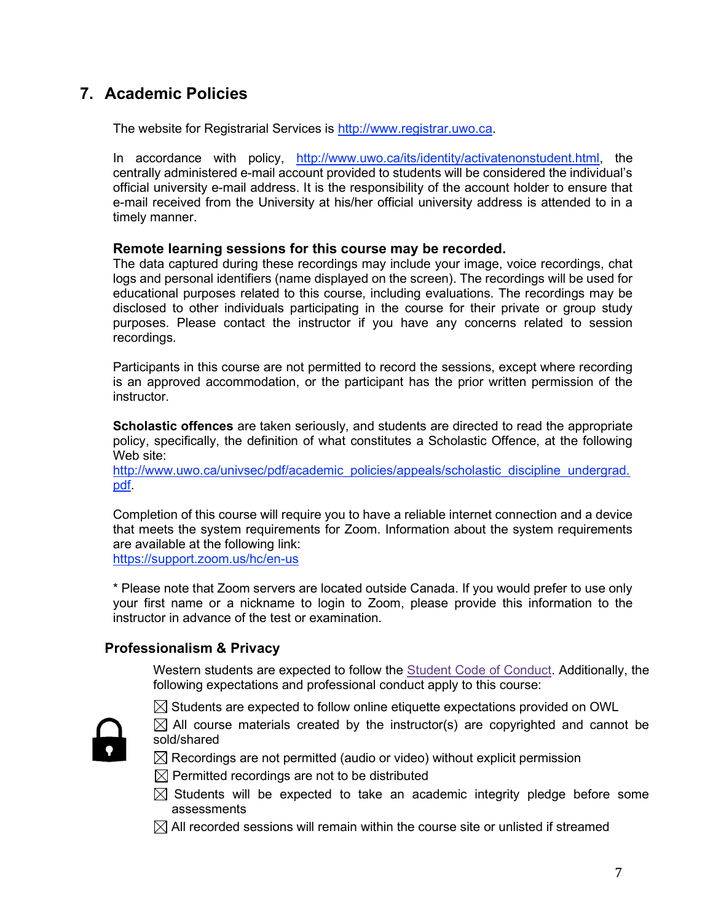# 7. Academic Policies

The website for Registrarial Services is http://www.registrar.uwo.ca.

In accordance with policy, http://www.uwo.ca/its/identity/activatenonstudent.html, the centrally administered e-mail account provided to students will be considered the individual's official university e-mail address. It is the responsibility of the account holder to ensure that e-mail received from the University at his/her official university address is attended to in a timely manner.

#### Remote learning sessions for this course may be recorded.

The data captured during these recordings may include your image, voice recordings, chat logs and personal identifiers (name displayed on the screen). The recordings will be used for educational purposes related to this course, including evaluations. The recordings may be disclosed to other individuals participating in the course for their private or group study purposes. Please contact the instructor if you have any concerns related to session recordings.

Participants in this course are not permitted to record the sessions, except where recording is an approved accommodation, or the participant has the prior written permission of the instructor.

Scholastic offences are taken seriously, and students are directed to read the appropriate policy, specifically, the definition of what constitutes a Scholastic Offence, at the following Web site:

http://www.uwo.ca/univsec/pdf/academic\_policies/appeals/scholastic\_discipline\_undergrad. pdf.

Completion of this course will require you to have a reliable internet connection and a device that meets the system requirements for Zoom. Information about the system requirements are available at the following link:

https://support.zoom.us/hc/en-us

\* Please note that Zoom servers are located outside Canada. If you would prefer to use only your first name or a nickname to login to Zoom, please provide this information to the instructor in advance of the test or examination.

#### Professionalism & Privacy

Western students are expected to follow the **Student Code of Conduct.** Additionally, the following expectations and professional conduct apply to this course:



 $\boxtimes$  Students are expected to follow online etiquette expectations provided on OWL

 $\boxtimes$  All course materials created by the instructor(s) are copyrighted and cannot be sold/shared

 $\boxtimes$  Recordings are not permitted (audio or video) without explicit permission

- $\boxtimes$  Permitted recordings are not to be distributed
- $\boxtimes$  Students will be expected to take an academic integrity pledge before some assessments
- $\boxtimes$  All recorded sessions will remain within the course site or unlisted if streamed